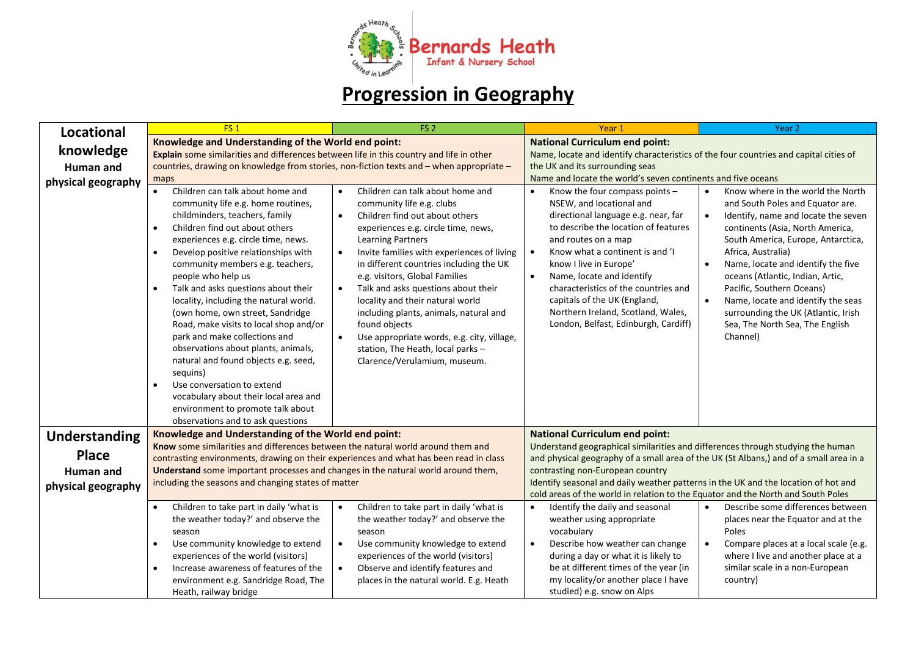

## **Progression in Geography**

| <b>Locational</b>    | FS <sub>1</sub>                                                                                                                                                                                                                                                                                                                                                                                                                                                                                                                                                                                                                                                                                                                                                                    | FS <sub>2</sub>                                                                                                                                                                                                                                                                                                                                                                                                                                                                                                                                                                        | Year 1                                                                                                                                                                                                                                                                                                                                                                                                                                     | Year <sub>2</sub>                                                                                                                                                                                                                                                                                                                                                                                                                               |
|----------------------|------------------------------------------------------------------------------------------------------------------------------------------------------------------------------------------------------------------------------------------------------------------------------------------------------------------------------------------------------------------------------------------------------------------------------------------------------------------------------------------------------------------------------------------------------------------------------------------------------------------------------------------------------------------------------------------------------------------------------------------------------------------------------------|----------------------------------------------------------------------------------------------------------------------------------------------------------------------------------------------------------------------------------------------------------------------------------------------------------------------------------------------------------------------------------------------------------------------------------------------------------------------------------------------------------------------------------------------------------------------------------------|--------------------------------------------------------------------------------------------------------------------------------------------------------------------------------------------------------------------------------------------------------------------------------------------------------------------------------------------------------------------------------------------------------------------------------------------|-------------------------------------------------------------------------------------------------------------------------------------------------------------------------------------------------------------------------------------------------------------------------------------------------------------------------------------------------------------------------------------------------------------------------------------------------|
|                      | Knowledge and Understanding of the World end point:                                                                                                                                                                                                                                                                                                                                                                                                                                                                                                                                                                                                                                                                                                                                |                                                                                                                                                                                                                                                                                                                                                                                                                                                                                                                                                                                        | <b>National Curriculum end point:</b>                                                                                                                                                                                                                                                                                                                                                                                                      |                                                                                                                                                                                                                                                                                                                                                                                                                                                 |
| knowledge            | Explain some similarities and differences between life in this country and life in other                                                                                                                                                                                                                                                                                                                                                                                                                                                                                                                                                                                                                                                                                           |                                                                                                                                                                                                                                                                                                                                                                                                                                                                                                                                                                                        | Name, locate and identify characteristics of the four countries and capital cities of                                                                                                                                                                                                                                                                                                                                                      |                                                                                                                                                                                                                                                                                                                                                                                                                                                 |
| Human and            | countries, drawing on knowledge from stories, non-fiction texts and - when appropriate -                                                                                                                                                                                                                                                                                                                                                                                                                                                                                                                                                                                                                                                                                           |                                                                                                                                                                                                                                                                                                                                                                                                                                                                                                                                                                                        | the UK and its surrounding seas                                                                                                                                                                                                                                                                                                                                                                                                            |                                                                                                                                                                                                                                                                                                                                                                                                                                                 |
| physical geography   | maps                                                                                                                                                                                                                                                                                                                                                                                                                                                                                                                                                                                                                                                                                                                                                                               |                                                                                                                                                                                                                                                                                                                                                                                                                                                                                                                                                                                        | Name and locate the world's seven continents and five oceans                                                                                                                                                                                                                                                                                                                                                                               |                                                                                                                                                                                                                                                                                                                                                                                                                                                 |
|                      | Children can talk about home and<br>community life e.g. home routines,<br>childminders, teachers, family<br>Children find out about others<br>$\bullet$<br>experiences e.g. circle time, news.<br>Develop positive relationships with<br>$\bullet$<br>community members e.g. teachers,<br>people who help us<br>Talk and asks questions about their<br>$\bullet$<br>locality, including the natural world.<br>(own home, own street, Sandridge<br>Road, make visits to local shop and/or<br>park and make collections and<br>observations about plants, animals,<br>natural and found objects e.g. seed,<br>sequins)<br>Use conversation to extend<br>$\bullet$<br>vocabulary about their local area and<br>environment to promote talk about<br>observations and to ask questions | Children can talk about home and<br>community life e.g. clubs<br>Children find out about others<br>$\bullet$<br>experiences e.g. circle time, news,<br>Learning Partners<br>Invite families with experiences of living<br>$\bullet$<br>in different countries including the UK<br>e.g. visitors, Global Families<br>Talk and asks questions about their<br>$\bullet$<br>locality and their natural world<br>including plants, animals, natural and<br>found objects<br>Use appropriate words, e.g. city, village,<br>station, The Heath, local parks -<br>Clarence/Verulamium, museum. | Know the four compass points -<br>NSEW, and locational and<br>directional language e.g. near, far<br>to describe the location of features<br>and routes on a map<br>Know what a continent is and 'I<br>$\bullet$<br>know I live in Europe'<br>Name, locate and identify<br>$\bullet$<br>characteristics of the countries and<br>capitals of the UK (England,<br>Northern Ireland, Scotland, Wales,<br>London, Belfast, Edinburgh, Cardiff) | Know where in the world the North<br>and South Poles and Equator are.<br>Identify, name and locate the seven<br>continents (Asia, North America,<br>South America, Europe, Antarctica,<br>Africa, Australia)<br>Name, locate and identify the five<br>oceans (Atlantic, Indian, Artic,<br>Pacific, Southern Oceans)<br>Name, locate and identify the seas<br>surrounding the UK (Atlantic, Irish<br>Sea, The North Sea, The English<br>Channel) |
| <b>Understanding</b> | Knowledge and Understanding of the World end point:                                                                                                                                                                                                                                                                                                                                                                                                                                                                                                                                                                                                                                                                                                                                |                                                                                                                                                                                                                                                                                                                                                                                                                                                                                                                                                                                        | <b>National Curriculum end point:</b>                                                                                                                                                                                                                                                                                                                                                                                                      |                                                                                                                                                                                                                                                                                                                                                                                                                                                 |
|                      | Know some similarities and differences between the natural world around them and                                                                                                                                                                                                                                                                                                                                                                                                                                                                                                                                                                                                                                                                                                   |                                                                                                                                                                                                                                                                                                                                                                                                                                                                                                                                                                                        | Understand geographical similarities and differences through studying the human                                                                                                                                                                                                                                                                                                                                                            |                                                                                                                                                                                                                                                                                                                                                                                                                                                 |
| <b>Place</b>         | contrasting environments, drawing on their experiences and what has been read in class                                                                                                                                                                                                                                                                                                                                                                                                                                                                                                                                                                                                                                                                                             |                                                                                                                                                                                                                                                                                                                                                                                                                                                                                                                                                                                        | and physical geography of a small area of the UK (St Albans,) and of a small area in a                                                                                                                                                                                                                                                                                                                                                     |                                                                                                                                                                                                                                                                                                                                                                                                                                                 |
| Human and            | Understand some important processes and changes in the natural world around them,                                                                                                                                                                                                                                                                                                                                                                                                                                                                                                                                                                                                                                                                                                  |                                                                                                                                                                                                                                                                                                                                                                                                                                                                                                                                                                                        | contrasting non-European country                                                                                                                                                                                                                                                                                                                                                                                                           |                                                                                                                                                                                                                                                                                                                                                                                                                                                 |
| physical geography   | including the seasons and changing states of matter                                                                                                                                                                                                                                                                                                                                                                                                                                                                                                                                                                                                                                                                                                                                |                                                                                                                                                                                                                                                                                                                                                                                                                                                                                                                                                                                        | Identify seasonal and daily weather patterns in the UK and the location of hot and                                                                                                                                                                                                                                                                                                                                                         |                                                                                                                                                                                                                                                                                                                                                                                                                                                 |
|                      |                                                                                                                                                                                                                                                                                                                                                                                                                                                                                                                                                                                                                                                                                                                                                                                    |                                                                                                                                                                                                                                                                                                                                                                                                                                                                                                                                                                                        | cold areas of the world in relation to the Equator and the North and South Poles                                                                                                                                                                                                                                                                                                                                                           |                                                                                                                                                                                                                                                                                                                                                                                                                                                 |
|                      | Children to take part in daily 'what is<br>$\bullet$<br>the weather today?' and observe the<br>season<br>Use community knowledge to extend<br>$\bullet$<br>experiences of the world (visitors)<br>Increase awareness of features of the<br>$\bullet$<br>environment e.g. Sandridge Road, The                                                                                                                                                                                                                                                                                                                                                                                                                                                                                       | Children to take part in daily 'what is<br>$\bullet$<br>the weather today?' and observe the<br>season<br>Use community knowledge to extend<br>$\bullet$<br>experiences of the world (visitors)<br>Observe and identify features and<br>$\bullet$<br>places in the natural world. E.g. Heath                                                                                                                                                                                                                                                                                            | Identify the daily and seasonal<br>$\bullet$<br>weather using appropriate<br>vocabulary<br>Describe how weather can change<br>$\bullet$<br>during a day or what it is likely to<br>be at different times of the year (in<br>my locality/or another place I have                                                                                                                                                                            | Describe some differences between<br>places near the Equator and at the<br>Poles<br>Compare places at a local scale (e.g.<br>$\bullet$<br>where I live and another place at a<br>similar scale in a non-European<br>country)                                                                                                                                                                                                                    |
|                      | Heath, railway bridge                                                                                                                                                                                                                                                                                                                                                                                                                                                                                                                                                                                                                                                                                                                                                              |                                                                                                                                                                                                                                                                                                                                                                                                                                                                                                                                                                                        | studied) e.g. snow on Alps                                                                                                                                                                                                                                                                                                                                                                                                                 |                                                                                                                                                                                                                                                                                                                                                                                                                                                 |